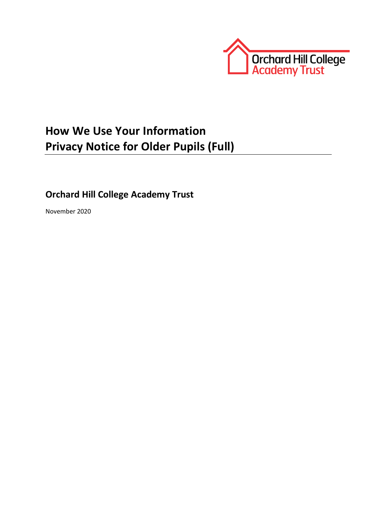

# **How We Use Your Information Privacy Notice for Older Pupils (Full)**

# **Orchard Hill College Academy Trust**

November 2020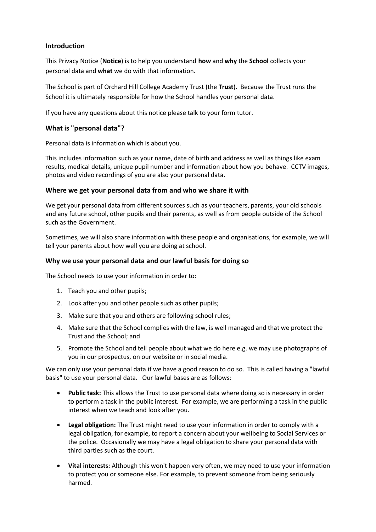## **Introduction**

This Privacy Notice (**Notice**) is to help you understand **how** and **why** the **School** collects your personal data and **what** we do with that information.

The School is part of Orchard Hill College Academy Trust (the **Trust**). Because the Trust runs the School it is ultimately responsible for how the School handles your personal data.

If you have any questions about this notice please talk to your form tutor.

### **What is "personal data"?**

Personal data is information which is about you.

This includes information such as your name, date of birth and address as well as things like exam results, medical details, unique pupil number and information about how you behave. CCTV images, photos and video recordings of you are also your personal data.

#### **Where we get your personal data from and who we share it with**

We get your personal data from different sources such as your teachers, parents, your old schools and any future school, other pupils and their parents, as well as from people outside of the School such as the Government.

Sometimes, we will also share information with these people and organisations, for example, we will tell your parents about how well you are doing at school.

#### **Why we use your personal data and our lawful basis for doing so**

The School needs to use your information in order to:

- 1. Teach you and other pupils;
- 2. Look after you and other people such as other pupils;
- 3. Make sure that you and others are following school rules;
- 4. Make sure that the School complies with the law, is well managed and that we protect the Trust and the School; and
- 5. Promote the School and tell people about what we do here e.g. we may use photographs of you in our prospectus, on our website or in social media.

We can only use your personal data if we have a good reason to do so. This is called having a "lawful basis" to use your personal data. Our lawful bases are as follows:

- **Public task:** This allows the Trust to use personal data where doing so is necessary in order to perform a task in the public interest. For example, we are performing a task in the public interest when we teach and look after you.
- **Legal obligation:** The Trust might need to use your information in order to comply with a legal obligation, for example, to report a concern about your wellbeing to Social Services or the police. Occasionally we may have a legal obligation to share your personal data with third parties such as the court.
- **Vital interests:** Although this won't happen very often, we may need to use your information to protect you or someone else. For example, to prevent someone from being seriously harmed.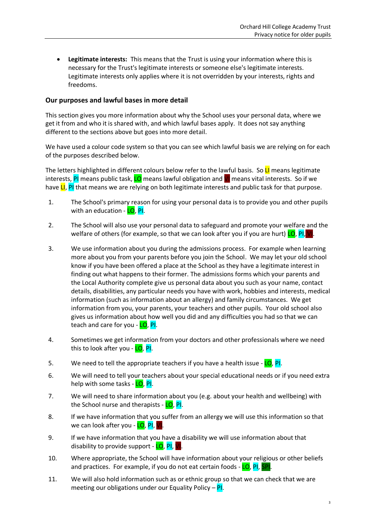**Legitimate interests:** This means that the Trust is using your information where this is necessary for the Trust's legitimate interests or someone else's legitimate interests. Legitimate interests only applies where it is not overridden by your interests, rights and freedoms.

## **Our purposes and lawful bases in more detail**

This section gives you more information about why the School uses your personal data, where we get it from and who it is shared with, and which lawful bases apply. It does not say anything different to the sections above but goes into more detail.

We have used a colour code system so that you can see which lawful basis we are relying on for each of the purposes described below.

The letters highlighted in different colours below refer to the lawful basis. So  $LI$  means legitimate interests, PI means public task, LO means lawful obligation and VI means vital interests. So if we have LI, PI that means we are relying on both legitimate interests and public task for that purpose.

- 1. The School's primary reason for using your personal data is to provide you and other pupils with an education - LO, PI.
- 2. The School will also use your personal data to safeguard and promote your welfare and the welfare of others (for example, so that we can look after you if you are hurt) **LO, PI, VI**
- 3. We use information about you during the admissions process. For example when learning more about you from your parents before you join the School. We may let your old school know if you have been offered a place at the School as they have a legitimate interest in finding out what happens to their former. The admissions forms which your parents and the Local Authority complete give us personal data about you such as your name, contact details, disabilities, any particular needs you have with work, hobbies and interests, medical information (such as information about an allergy) and family circumstances. We get information from you, your parents, your teachers and other pupils. Your old school also gives us information about how well you did and any difficulties you had so that we can teach and care for you - LO, PI.
- 4. Sometimes we get information from your doctors and other professionals where we need this to look after you - LO, PI.
- 5. We need to tell the appropriate teachers if you have a health issue LO, PI.
- 6. We will need to tell your teachers about your special educational needs or if you need extra help with some tasks - LO. PI.
- 7. We will need to share information about you (e.g. about your health and wellbeing) with the School nurse and therapists - LO, PI.
- 8. If we have information that you suffer from an allergy we will use this information so that we can look after you - LO, PI, VI.
- 9. If we have information that you have a disability we will use information about that disability to provide support - LO, PI, VI.
- 10. Where appropriate, the School will have information about your religious or other beliefs and practices. For example, if you do not eat certain foods - LO, PI, SPI.
- 11. We will also hold information such as or ethnic group so that we can check that we are meeting our obligations under our Equality Policy –  $PI$ .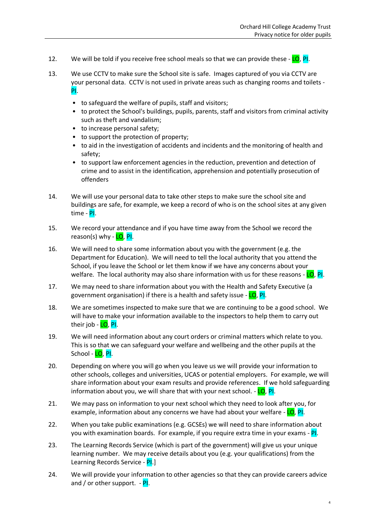- 12. We will be told if you receive free school meals so that we can provide these LO, PI.
- 13. We use CCTV to make sure the School site is safe. Images captured of you via CCTV are your personal data. CCTV is not used in private areas such as changing rooms and toilets - PI.
	- to safeguard the welfare of pupils, staff and visitors;
	- to protect the School's buildings, pupils, parents, staff and visitors from criminal activity such as theft and vandalism;
	- to increase personal safety;
	- to support the protection of property;
	- to aid in the investigation of accidents and incidents and the monitoring of health and safety;
	- to support law enforcement agencies in the reduction, prevention and detection of crime and to assist in the identification, apprehension and potentially prosecution of offenders
- 14. We will use your personal data to take other steps to make sure the school site and buildings are safe, for example, we keep a record of who is on the school sites at any given time - PI.
- 15. We record your attendance and if you have time away from the School we record the reason(s) why - LO, PI.
- 16. We will need to share some information about you with the government (e.g. the Department for Education). We will need to tell the local authority that you attend the School, if you leave the School or let them know if we have any concerns about your welfare. The local authority may also share information with us for these reasons - LO, PI.
- 17. We may need to share information about you with the Health and Safety Executive (a government organisation) if there is a health and safety issue - LO, PI.
- 18. We are sometimes inspected to make sure that we are continuing to be a good school. We will have to make your information available to the inspectors to help them to carry out their job - <mark>LO, PI</mark>.
- 19. We will need information about any court orders or criminal matters which relate to you. This is so that we can safeguard your welfare and wellbeing and the other pupils at the School - <mark>LO, PI.</mark>
- 20. Depending on where you will go when you leave us we will provide your information to other schools, colleges and universities, UCAS or potential employers. For example, we will share information about your exam results and provide references. If we hold safeguarding information about you, we will share that with your next school. - LO, PI.
- 21. We may pass on information to your next school which they need to look after you, for example, information about any concerns we have had about your welfare - LO, PI.
- 22. When you take public examinations (e.g. GCSEs) we will need to share information about you with examination boards. For example, if you require extra time in your exams - PI.
- 23. The Learning Records Service (which is part of the government) will give us your unique learning number. We may receive details about you (e.g. your qualifications) from the Learning Records Service - PI.
- 24. We will provide your information to other agencies so that they can provide careers advice and / or other support.  $-$  PI.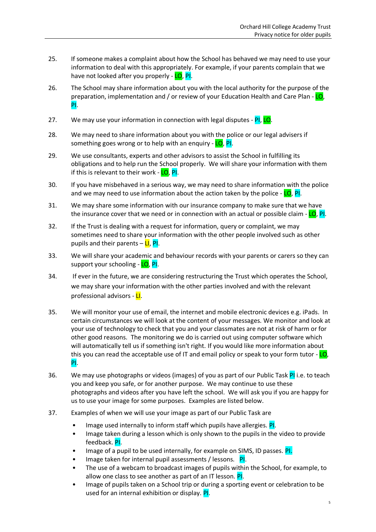- 25. If someone makes a complaint about how the School has behaved we may need to use your information to deal with this appropriately. For example, if your parents complain that we have not looked after you properly - LO, PI.
- 26. The School may share information about you with the local authority for the purpose of the preparation, implementation and / or review of your Education Health and Care Plan - LO, PI.
- 27. We may use your information in connection with legal disputes PI, LO.
- 28. We may need to share information about you with the police or our legal advisers if something goes wrong or to help with an enquiry -  $LO$ , PI.
- 29. We use consultants, experts and other advisors to assist the School in fulfilling its obligations and to help run the School properly. We will share your information with them if this is relevant to their work - LO, PI.
- 30. If you have misbehaved in a serious way, we may need to share information with the police and we may need to use information about the action taken by the police -  $LO$ , Pl.
- 31. We may share some information with our insurance company to make sure that we have the insurance cover that we need or in connection with an actual or possible claim - LO, PI.
- 32. If the Trust is dealing with a request for information, query or complaint, we may sometimes need to share your information with the other people involved such as other pupils and their parents – LI, PI.
- 33. We will share your academic and behaviour records with your parents or carers so they can support your schooling - LO, PI.
- 34. If ever in the future, we are considering restructuring the Trust which operates the School, we may share your information with the other parties involved and with the relevant professional advisors - LI.
- 35. We will monitor your use of email, the internet and mobile electronic devices e.g. iPads. In certain circumstances we will look at the content of your messages. We monitor and look at your use of technology to check that you and your classmates are not at risk of harm or for other good reasons. The monitoring we do is carried out using computer software which will automatically tell us if something isn't right. If you would like more information about this you can read the acceptable use of IT and email policy or speak to your form tutor - LO, PI.
- 36. We may use photographs or videos (images) of you as part of our Public Task PI i.e. to teach you and keep you safe, or for another purpose. We may continue to use these photographs and videos after you have left the school. We will ask you if you are happy for us to use your image for some purposes. Examples are listed below.
- 37. Examples of when we will use your image as part of our Public Task are
	- Image used internally to inform staff which pupils have allergies. PI.
	- Image taken during a lesson which is only shown to the pupils in the video to provide feedback. PI.
	- Image of a pupil to be used internally, for example on SIMS, ID passes. PI.
	- Image taken for internal pupil assessments / lessons. PI.
	- The use of a webcam to broadcast images of pupils within the School, for example, to allow one class to see another as part of an IT lesson. PI.
	- Image of pupils taken on a School trip or during a sporting event or celebration to be used for an internal exhibition or display. PI.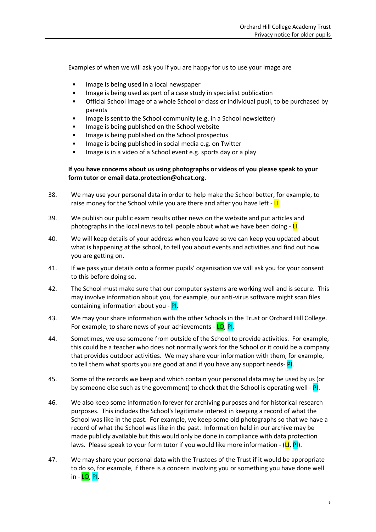Examples of when we will ask you if you are happy for us to use your image are

- Image is being used in a local newspaper
- Image is being used as part of a case study in specialist publication
- Official School image of a whole School or class or individual pupil, to be purchased by parents
- Image is sent to the School community (e.g. in a School newsletter)
- Image is being published on the School website
- Image is being published on the School prospectus
- Image is being published in social media e.g. on Twitter
- Image is in a video of a School event e.g. sports day or a play

#### **If you have concerns about us using photographs or videos of you please speak to your form tutor or email data.protection@ohcat.org**.

- 38. We may use your personal data in order to help make the School better, for example, to raise money for the School while you are there and after you have left - LI
- 39. We publish our public exam results other news on the website and put articles and photographs in the local news to tell people about what we have been doing  $-\mathsf{L}$ .
- 40. We will keep details of your address when you leave so we can keep you updated about what is happening at the school, to tell you about events and activities and find out how you are getting on.
- 41. If we pass your details onto a former pupils' organisation we will ask you for your consent to this before doing so.
- 42. The School must make sure that our computer systems are working well and is secure. This may involve information about you, for example, our anti-virus software might scan files containing information about you - PI.
- 43. We may your share information with the other Schools in the Trust or Orchard Hill College. For example, to share news of your achievements - LO, PI.
- 44. Sometimes, we use someone from outside of the School to provide activities. For example, this could be a teacher who does not normally work for the School or it could be a company that provides outdoor activities. We may share your information with them, for example, to tell them what sports you are good at and if you have any support needs- PI.
- 45. Some of the records we keep and which contain your personal data may be used by us (or by someone else such as the government) to check that the School is operating well -  $PI$ .
- 46. We also keep some information forever for archiving purposes and for historical research purposes. This includes the School's legitimate interest in keeping a record of what the School was like in the past. For example, we keep some old photographs so that we have a record of what the School was like in the past. Information held in our archive may be made publicly available but this would only be done in compliance with data protection laws. Please speak to your form tutor if you would like more information -  $(LI, PI)$ .
- 47. We may share your personal data with the Trustees of the Trust if it would be appropriate to do so, for example, if there is a concern involving you or something you have done well in  $LO$ ,  $PI$ .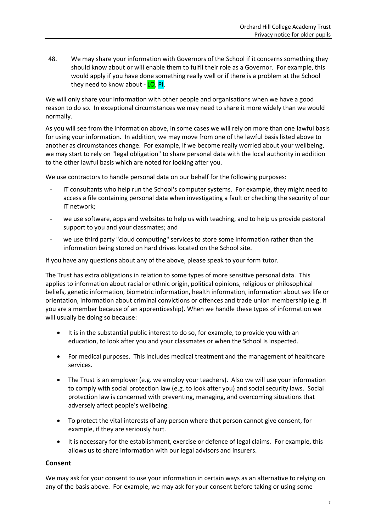48. We may share your information with Governors of the School if it concerns something they should know about or will enable them to fulfil their role as a Governor. For example, this would apply if you have done something really well or if there is a problem at the School they need to know about - LO, PI.

We will only share your information with other people and organisations when we have a good reason to do so. In exceptional circumstances we may need to share it more widely than we would normally.

As you will see from the information above, in some cases we will rely on more than one lawful basis for using your information. In addition, we may move from one of the lawful basis listed above to another as circumstances change. For example, if we become really worried about your wellbeing, we may start to rely on "legal obligation" to share personal data with the local authority in addition to the other lawful basis which are noted for looking after you.

We use contractors to handle personal data on our behalf for the following purposes:

- IT consultants who help run the School's computer systems. For example, they might need to access a file containing personal data when investigating a fault or checking the security of our IT network;
- we use software, apps and websites to help us with teaching, and to help us provide pastoral support to you and your classmates; and
- we use third party "cloud computing" services to store some information rather than the information being stored on hard drives located on the School site.

If you have any questions about any of the above, please speak to your form tutor.

The Trust has extra obligations in relation to some types of more sensitive personal data. This applies to information about racial or ethnic origin, political opinions, religious or philosophical beliefs, genetic information, biometric information, health information, information about sex life or orientation, information about criminal convictions or offences and trade union membership (e.g. if you are a member because of an apprenticeship). When we handle these types of information we will usually be doing so because:

- It is in the substantial public interest to do so, for example, to provide you with an education, to look after you and your classmates or when the School is inspected.
- For medical purposes. This includes medical treatment and the management of healthcare services.
- The Trust is an employer (e.g. we employ your teachers). Also we will use your information to comply with social protection law (e.g. to look after you) and social security laws. Social protection law is concerned with preventing, managing, and overcoming situations that adversely affect people's wellbeing.
- To protect the vital interests of any person where that person cannot give consent, for example, if they are seriously hurt.
- It is necessary for the establishment, exercise or defence of legal claims. For example, this allows us to share information with our legal advisors and insurers.

### **Consent**

We may ask for your consent to use your information in certain ways as an alternative to relying on any of the basis above. For example, we may ask for your consent before taking or using some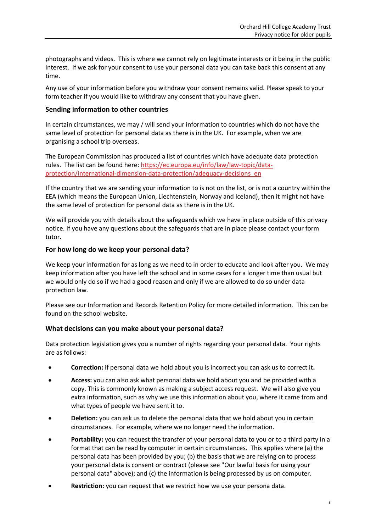photographs and videos. This is where we cannot rely on legitimate interests or it being in the public interest. If we ask for your consent to use your personal data you can take back this consent at any time.

Any use of your information before you withdraw your consent remains valid. Please speak to your form teacher if you would like to withdraw any consent that you have given.

### **Sending information to other countries**

In certain circumstances, we may / will send your information to countries which do not have the same level of protection for personal data as there is in the UK. For example, when we are organising a school trip overseas.

The European Commission has produced a list of countries which have adequate data protection rules. The list can be found here: [https://ec.europa.eu/info/law/law-topic/data](https://ec.europa.eu/info/law/law-topic/data-protection/international-dimension-data-protection/adequacy-decisions_en)[protection/international-dimension-data-protection/adequacy-decisions\\_en](https://ec.europa.eu/info/law/law-topic/data-protection/international-dimension-data-protection/adequacy-decisions_en)

If the country that we are sending your information to is not on the list, or is not a country within the EEA (which means the European Union, Liechtenstein, Norway and Iceland), then it might not have the same level of protection for personal data as there is in the UK.

We will provide you with details about the safeguards which we have in place outside of this privacy notice. If you have any questions about the safeguards that are in place please contact your form tutor.

#### **For how long do we keep your personal data?**

We keep your information for as long as we need to in order to educate and look after you. We may keep information after you have left the school and in some cases for a longer time than usual but we would only do so if we had a good reason and only if we are allowed to do so under data protection law.

Please see our Information and Records Retention Policy for more detailed information. This can be found on the school website.

### **What decisions can you make about your personal data?**

Data protection legislation gives you a number of rights regarding your personal data. Your rights are as follows:

- **Correction:** if personal data we hold about you is incorrect you can ask us to correct it**.**
- **Access:** you can also ask what personal data we hold about you and be provided with a copy. This is commonly known as making a subject access request. We will also give you extra information, such as why we use this information about you, where it came from and what types of people we have sent it to.
- **Deletion:** you can ask us to delete the personal data that we hold about you in certain circumstances. For example, where we no longer need the information.
- **Portability:** you can request the transfer of your personal data to you or to a third party in a format that can be read by computer in certain circumstances. This applies where (a) the personal data has been provided by you; (b) the basis that we are relying on to process your personal data is consent or contract (please see "Our lawful basis for using your personal data" above); and (c) the information is being processed by us on computer.
- **Restriction:** you can request that we restrict how we use your persona data.